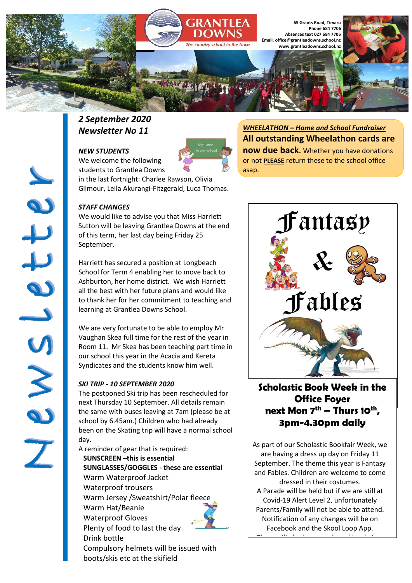

### *2 September 2020 Newsletter No 11*

#### *NEW STUDENTS*

We welcome the following students to Grantlea Downs in the last fortnight: Charlee Rawson, Olivia



*WHEELATHON – Home and School Fundraiser* **All outstanding Wheelathon cards are now due back**. Whether you have donations or not **PLEASE** return these to the school office asap.

*STAFF CHANGES*

We would like to advise you that Miss Harriett Sutton will be leaving Grantlea Downs at the end of this term, her last day being Friday 25 September.

Gilmour, Leila Akurangi-Fitzgerald, Luca Thomas.

Harriett has secured a position at Longbeach School for Term 4 enabling her to move back to Ashburton, her home district. We wish Harriett all the best with her future plans and would like to thank her for her commitment to teaching and learning at Grantlea Downs School.

We are very fortunate to be able to employ Mr Vaughan Skea full time for the rest of the year in Room 11. Mr Skea has been teaching part time in our school this year in the Acacia and Kereta Syndicates and the students know him well.

#### *SKI TRIP - 10 SEPTEMBER 2020*

The postponed Ski trip has been rescheduled for next Thursday 10 September. All details remain the same with buses leaving at 7am (please be at school by 6.45am.) Children who had already been on the Skating trip will have a normal school day.

A reminder of gear that is required: **SUNSCREEN –this is essential SUNGLASSES/GOGGLES - these are essential** Warm Waterproof Jacket Waterproof trousers Warm Jersey /Sweatshirt/Polar fleece Warm Hat/Beanie Waterproof Gloves Plenty of food to last the day Drink bottle Compulsory helmets will be issued with boots/skis etc at the skifield



**Scholastic Book Week in the Office Foyer next Mon 7th – Thurs 10th , 3pm-4.30pm daily**

As part of our Scholastic Bookfair Week, we are having a dress up day on Friday 11 September. The theme this year is Fantasy and Fables. Children are welcome to come dressed in their costumes. A Parade will be held but if we are still at Covid-19 Alert Level 2, unfortunately Parents/Family will not be able to attend. Notification of any changes will be on

Facebook and the Skool Loop App. There will also be a number of lunchtime of lunchtime of lunchtime of lunchtime of lunchtime of lunchtime of l<br>The control of lunchtime of lunchtime of lunchtime of lunchtime of lunchtime of lunchtime of lunchtime of lunc